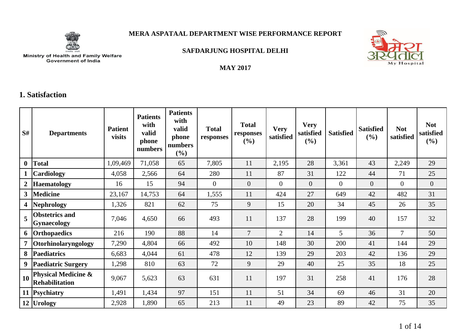

### **MERA ASPATAAL DEPARTMENT WISE PERFORMANCE REPORT**



**SAFDARJUNG HOSPITAL DELHI**

# Ministry of Health and Family Welfare<br>Government of India

#### **MAY 2017**

## **1. Satisfaction**

| S#             | <b>Departments</b>                                      | <b>Patient</b><br>visits | <b>Patients</b><br>with<br>valid<br>phone<br>numbers | <b>Patients</b><br>with<br>valid<br>phone<br>numbers<br>(%) | <b>Total</b><br>responses | <b>Total</b><br>responses<br>(%) | <b>Very</b><br>satisfied | <b>Very</b><br>satisfied<br>(%) | <b>Satisfied</b> | <b>Satisfied</b><br>$(\%)$ | <b>Not</b><br>satisfied | <b>Not</b><br>satisfied<br>$(\%)$ |
|----------------|---------------------------------------------------------|--------------------------|------------------------------------------------------|-------------------------------------------------------------|---------------------------|----------------------------------|--------------------------|---------------------------------|------------------|----------------------------|-------------------------|-----------------------------------|
| $\bf{0}$       | <b>Total</b>                                            | 1,09,469                 | 71,058                                               | 65                                                          | 7,805                     | 11                               | 2,195                    | 28                              | 3,361            | 43                         | 2,249                   | 29                                |
|                | Cardiology                                              | 4,058                    | 2,566                                                | 64                                                          | 280                       | 11                               | 87                       | 31                              | 122              | 44                         | 71                      | 25                                |
| $\overline{2}$ | <b>Haematology</b>                                      | 16                       | 15                                                   | 94                                                          | $\overline{0}$            | $\overline{0}$                   | $\Omega$                 | $\overline{0}$                  | $\overline{0}$   | $\overline{0}$             | $\theta$                | $\overline{0}$                    |
| 3 <sup>1</sup> | <b>Medicine</b>                                         | 23,167                   | 14,753                                               | 64                                                          | 1,555                     | 11                               | 424                      | 27                              | 649              | 42                         | 482                     | 31                                |
| 4 <sup>1</sup> | <b>Nephrology</b>                                       | 1,326                    | 821                                                  | 62                                                          | 75                        | 9                                | 15                       | 20                              | 34               | 45                         | 26                      | 35                                |
|                | <b>Obstetrics and</b><br><b>Gynaecology</b>             | 7,046                    | 4,650                                                | 66                                                          | 493                       | 11                               | 137                      | 28                              | 199              | 40                         | 157                     | 32                                |
|                | 6 Orthopaedics                                          | 216                      | 190                                                  | 88                                                          | 14                        | $\overline{7}$                   | $\overline{2}$           | 14                              | 5                | 36                         | $\overline{7}$          | 50                                |
| $\overline{7}$ | Otorhinolaryngology                                     | 7,290                    | 4,804                                                | 66                                                          | 492                       | 10                               | 148                      | 30                              | 200              | 41                         | 144                     | 29                                |
| 8              | <b>Paediatrics</b>                                      | 6,683                    | 4,044                                                | 61                                                          | 478                       | 12                               | 139                      | 29                              | 203              | 42                         | 136                     | 29                                |
| 9 <sup>1</sup> | <b>Paediatric Surgery</b>                               | 1,298                    | 810                                                  | 63                                                          | 72                        | 9                                | 29                       | 40                              | 25               | 35                         | 18                      | 25                                |
| 10             | <b>Physical Medicine &amp;</b><br><b>Rehabilitation</b> | 9,067                    | 5,623                                                | 63                                                          | 631                       | 11                               | 197                      | 31                              | 258              | 41                         | 176                     | 28                                |
|                | 11 Psychiatry                                           | 1,491                    | 1,434                                                | 97                                                          | 151                       | 11                               | 51                       | 34                              | 69               | 46                         | 31                      | 20                                |
|                | 12 Urology                                              | 2,928                    | 1,890                                                | 65                                                          | 213                       | 11                               | 49                       | 23                              | 89               | 42                         | 75                      | 35                                |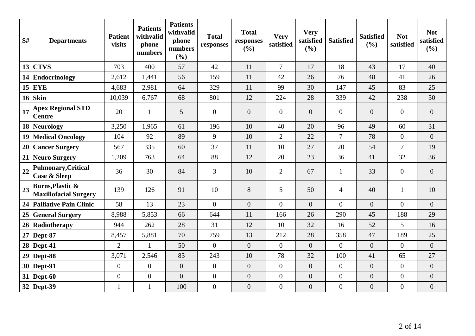| S# | <b>Departments</b>                                          | <b>Patient</b><br>visits | <b>Patients</b><br>withvalid<br>phone<br>numbers | <b>Patients</b><br>withvalid<br>phone<br>numbers<br>(%) | <b>Total</b><br>responses | <b>Total</b><br>responses<br>(%) | <b>Very</b><br>satisfied | <b>Very</b><br>satisfied<br>(%) | <b>Satisfied</b> | <b>Satisfied</b><br>(%) | <b>Not</b><br>satisfied | <b>Not</b><br>satisfied<br>(%) |
|----|-------------------------------------------------------------|--------------------------|--------------------------------------------------|---------------------------------------------------------|---------------------------|----------------------------------|--------------------------|---------------------------------|------------------|-------------------------|-------------------------|--------------------------------|
|    | $13$ CTVS                                                   | 703                      | 400                                              | 57                                                      | 42                        | 11                               | $\overline{7}$           | 17                              | 18               | 43                      | 17                      | 40                             |
|    | 14 Endocrinology                                            | 2,612                    | 1,441                                            | 56                                                      | 159                       | 11                               | 42                       | 26                              | 76               | 48                      | 41                      | 26                             |
|    | $15$ EYE                                                    | 4,683                    | 2,981                                            | 64                                                      | 329                       | 11                               | 99                       | 30                              | 147              | 45                      | 83                      | 25                             |
|    | $16$ Skin                                                   | 10,039                   | 6,767                                            | 68                                                      | 801                       | 12                               | 224                      | 28                              | 339              | 42                      | 238                     | 30                             |
| 17 | <b>Apex Regional STD</b><br><b>Centre</b>                   | 20                       | $\mathbf{1}$                                     | 5                                                       | $\overline{0}$            | $\overline{0}$                   | $\overline{0}$           | $\overline{0}$                  | $\overline{0}$   | $\overline{0}$          | $\overline{0}$          | $\overline{0}$                 |
|    | 18 Neurology                                                | 3,250                    | 1,965                                            | 61                                                      | 196                       | 10                               | 40                       | 20                              | 96               | 49                      | 60                      | 31                             |
|    | <b>19 Medical Oncology</b>                                  | 104                      | 92                                               | 89                                                      | 9                         | 10                               | $\overline{2}$           | 22                              | $\tau$           | 78                      | $\overline{0}$          | $\overline{0}$                 |
|    | 20 Cancer Surgery                                           | 567                      | 335                                              | 60                                                      | 37                        | 11                               | 10                       | 27                              | 20               | 54                      | $\tau$                  | 19                             |
|    | 21 Neuro Surgery                                            | 1,209                    | 763                                              | 64                                                      | 88                        | 12                               | 20                       | 23                              | 36               | 41                      | 32                      | 36                             |
| 22 | Pulmonary, Critical<br><b>Case &amp; Sleep</b>              | 36                       | 30                                               | 84                                                      | $\overline{3}$            | 10                               | $\overline{2}$           | 67                              | $\mathbf{1}$     | 33                      | $\overline{0}$          | $\overline{0}$                 |
| 23 | <b>Burns, Plastic &amp;</b><br><b>Maxillofacial Surgery</b> | 139                      | 126                                              | 91                                                      | 10                        | 8                                | 5                        | 50                              | $\overline{4}$   | 40                      | 1                       | 10                             |
|    | 24 Palliative Pain Clinic                                   | 58                       | 13                                               | 23                                                      | $\overline{0}$            | $\overline{0}$                   | $\overline{0}$           | $\overline{0}$                  | $\overline{0}$   | $\overline{0}$          | $\Omega$                | $\overline{0}$                 |
|    | 25 General Surgery                                          | 8,988                    | 5,853                                            | 66                                                      | 644                       | 11                               | 166                      | 26                              | 290              | 45                      | 188                     | 29                             |
|    | 26 Radiotherapy                                             | 944                      | 262                                              | 28                                                      | 31                        | 12                               | 10                       | 32                              | 16               | 52                      | $5\overline{)}$         | 16                             |
|    | 27   Dept-87                                                | 8,457                    | 5,881                                            | 70                                                      | 759                       | 13                               | 212                      | 28                              | 358              | 47                      | 189                     | 25                             |
|    | $28$ Dept-41                                                | $\overline{2}$           | $\mathbf{1}$                                     | 50                                                      | $\overline{0}$            | $\overline{0}$                   | $\overline{0}$           | $\overline{0}$                  | $\overline{0}$   | $\overline{0}$          | $\overline{0}$          | $\overline{0}$                 |
|    | $29$ Dept-88                                                | 3,071                    | 2,546                                            | 83                                                      | 243                       | 10                               | 78                       | 32                              | 100              | 41                      | 65                      | 27                             |
|    | $30$ Dept-91                                                | $\mathbf{0}$             | $\overline{0}$                                   | $\overline{0}$                                          | $\overline{0}$            | $\overline{0}$                   | $\overline{0}$           | $\overline{0}$                  | $\overline{0}$   | $\overline{0}$          | $\overline{0}$          | $\overline{0}$                 |
|    | 31   Dept-60                                                | $\boldsymbol{0}$         | $\boldsymbol{0}$                                 | $\boldsymbol{0}$                                        | $\overline{0}$            | $\boldsymbol{0}$                 | $\boldsymbol{0}$         | $\overline{0}$                  | $\boldsymbol{0}$ | $\boldsymbol{0}$        | $\overline{0}$          | $\overline{0}$                 |
|    | 32 Dept-39                                                  | $\mathbf{1}$             | $\mathbf{1}$                                     | 100                                                     | $\overline{0}$            | $\boldsymbol{0}$                 | $\boldsymbol{0}$         | $\overline{0}$                  | $\boldsymbol{0}$ | $\overline{0}$          | $\overline{0}$          | $\overline{0}$                 |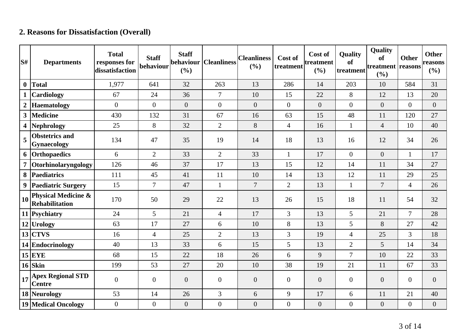## **2. Reasons for Dissatisfaction (Overall)**

| S#             | <b>Departments</b>                                      | <b>Total</b><br>responses for<br>dissatisfaction | <b>Staff</b><br>behaviour | <b>Staff</b><br>behaviour<br>(%) | <b>Cleanliness</b> | <b>Cleanliness</b><br>(%) | Cost of<br>treatment | Cost of<br>ltreatment<br>(%) | Quality<br><b>of</b><br>treatment | Quality<br>of<br>treatment<br>(%) | <b>Other</b><br>reasons | <b>Other</b><br>reasons<br>(%) |
|----------------|---------------------------------------------------------|--------------------------------------------------|---------------------------|----------------------------------|--------------------|---------------------------|----------------------|------------------------------|-----------------------------------|-----------------------------------|-------------------------|--------------------------------|
| $\bf{0}$       | <b>Total</b>                                            | 1,977                                            | 641                       | 32                               | 263                | 13                        | 286                  | 14                           | 203                               | 10                                | 584                     | 31                             |
| $\mathbf{1}$   | Cardiology                                              | 67                                               | 24                        | 36                               | $\overline{7}$     | 10                        | 15                   | 22                           | 8                                 | 12                                | 13                      | 20                             |
| $\overline{2}$ | <b>Haematology</b>                                      | $\overline{0}$                                   | $\overline{0}$            | $\overline{0}$                   | $\overline{0}$     | $\overline{0}$            | $\overline{0}$       | $\boldsymbol{0}$             | $\overline{0}$                    | $\overline{0}$                    | $\overline{0}$          | $\boldsymbol{0}$               |
| 3 <sup>1</sup> | <b>Medicine</b>                                         | 430                                              | 132                       | 31                               | 67                 | 16                        | 63                   | 15                           | 48                                | 11                                | 120                     | 27                             |
| 4              | <b>Nephrology</b>                                       | 25                                               | 8                         | 32                               | $\overline{2}$     | 8                         | $\overline{4}$       | 16                           | $\mathbf{1}$                      | $\overline{4}$                    | 10                      | 40                             |
| 5              | <b>Obstetrics and</b><br><b>Gynaecology</b>             | 134                                              | 47                        | 35                               | 19                 | 14                        | 18                   | 13                           | 16                                | 12                                | 34                      | 26                             |
|                | 6 Orthopaedics                                          | 6                                                | $\overline{2}$            | 33                               | $\overline{2}$     | 33                        | $\mathbf{1}$         | 17                           | $\overline{0}$                    | $\overline{0}$                    | $\mathbf{1}$            | 17                             |
| 7 <sup>1</sup> | Otorhinolaryngology                                     | 126                                              | 46                        | 37                               | 17                 | 13                        | 15                   | 12                           | 14                                | 11                                | 34                      | 27                             |
| 8              | <b>Paediatrics</b>                                      | 111                                              | 45                        | 41                               | 11                 | 10                        | 14                   | 13                           | 12                                | 11                                | 29                      | 25                             |
|                | 9 Paediatric Surgery                                    | 15                                               | $\overline{7}$            | 47                               | $\mathbf{1}$       | $\overline{7}$            | $\overline{2}$       | 13                           | $\mathbf{1}$                      | $\overline{7}$                    | $\overline{4}$          | 26                             |
| 10             | <b>Physical Medicine &amp;</b><br><b>Rehabilitation</b> | 170                                              | 50                        | 29                               | 22                 | 13                        | 26                   | 15                           | 18                                | 11                                | 54                      | 32                             |
|                | 11 Psychiatry                                           | 24                                               | 5                         | 21                               | $\overline{4}$     | 17                        | $\overline{3}$       | 13                           | 5                                 | 21                                | $\overline{7}$          | 28                             |
|                | 12 Urology                                              | 63                                               | 17                        | 27                               | 6                  | 10                        | 8                    | 13                           | 5                                 | 8                                 | 27                      | 42                             |
|                | $13$ CTVS                                               | 16                                               | $\overline{4}$            | 25                               | $\overline{2}$     | 13                        | $\overline{3}$       | 19                           | $\overline{4}$                    | 25                                | $\overline{3}$          | 18                             |
|                | 14 Endocrinology                                        | 40                                               | 13                        | 33                               | 6                  | 15                        | 5                    | 13                           | $\overline{2}$                    | 5                                 | 14                      | 34                             |
|                | $15$ EYE                                                | 68                                               | 15                        | 22                               | 18                 | 26                        | 6                    | 9                            | $\overline{7}$                    | 10                                | 22                      | 33                             |
|                | $16$ Skin                                               | 199                                              | 53                        | 27                               | 20                 | 10                        | 38                   | 19                           | 21                                | 11                                | 67                      | 33                             |
| 17             | <b>Apex Regional STD</b><br><b>Centre</b>               | $\overline{0}$                                   | $\overline{0}$            | $\overline{0}$                   | $\overline{0}$     | $\overline{0}$            | $\overline{0}$       | $\overline{0}$               | $\overline{0}$                    | $\overline{0}$                    | $\overline{0}$          | $\overline{0}$                 |
|                | 18 Neurology                                            | 53                                               | 14                        | 26                               | $\overline{3}$     | 6                         | 9                    | 17                           | 6                                 | 11                                | 21                      | 40                             |
|                | <b>19 Medical Oncology</b>                              | $\overline{0}$                                   | $\boldsymbol{0}$          | $\boldsymbol{0}$                 | $\overline{0}$     | $\boldsymbol{0}$          | $\overline{0}$       | $\boldsymbol{0}$             | $\boldsymbol{0}$                  | $\boldsymbol{0}$                  | $\boldsymbol{0}$        | $\boldsymbol{0}$               |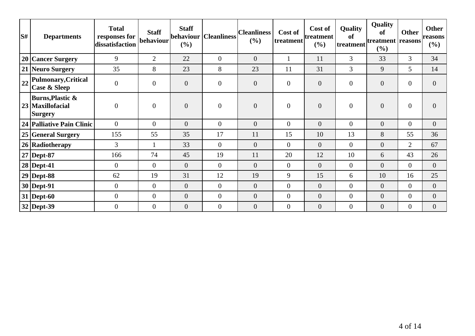| S# | <b>Departments</b>                                          | <b>Total</b><br>responses for<br>dissatisfaction | <b>Staff</b><br>behaviour | <b>Staff</b><br>behaviour<br>$(\%)$ | <b>Cleanliness</b> | <b>Cleanliness</b><br>(%) | Cost of<br> treatment | Cost of<br>treatment<br>(%) | Quality<br>of<br>treatment | Quality<br>of<br>treatment<br>$(\%)$ | <b>Other</b><br>reasons | <b>Other</b><br>reasons<br>$(\%)$ |
|----|-------------------------------------------------------------|--------------------------------------------------|---------------------------|-------------------------------------|--------------------|---------------------------|-----------------------|-----------------------------|----------------------------|--------------------------------------|-------------------------|-----------------------------------|
|    | 20 Cancer Surgery                                           | 9                                                | $\overline{2}$            | 22                                  | $\overline{0}$     | $\overline{0}$            |                       | 11                          | $\overline{3}$             | 33                                   | $\overline{3}$          | 34                                |
|    | 21 Neuro Surgery                                            | 35                                               | 8                         | 23                                  | 8                  | 23                        | 11                    | 31                          | 3                          | 9                                    | 5                       | 14                                |
| 22 | Pulmonary, Critical<br>Case & Sleep                         | $\overline{0}$                                   | $\mathbf{0}$              | $\overline{0}$                      | $\overline{0}$     | $\overline{0}$            | $\overline{0}$        | $\overline{0}$              | $\overline{0}$             | $\theta$                             | $\overline{0}$          | $\Omega$                          |
|    | Burns, Plastic $\&$<br>23   Maxillofacial<br><b>Surgery</b> | $\overline{0}$                                   | $\overline{0}$            | $\overline{0}$                      | $\overline{0}$     | $\overline{0}$            | $\overline{0}$        | $\overline{0}$              | $\overline{0}$             | $\boldsymbol{0}$                     | $\boldsymbol{0}$        | $\overline{0}$                    |
|    | 24 Palliative Pain Clinic                                   | $\overline{0}$                                   | $\overline{0}$            | $\overline{0}$                      | $\overline{0}$     | $\overline{0}$            | $\overline{0}$        | $\overline{0}$              | $\overline{0}$             | $\theta$                             | $\overline{0}$          | $\overline{0}$                    |
|    | 25 General Surgery                                          | 155                                              | 55                        | 35                                  | 17                 | 11                        | 15                    | 10                          | 13                         | 8                                    | 55                      | 36                                |
|    | 26 Radiotherapy                                             | $\overline{3}$                                   |                           | 33                                  | $\overline{0}$     | $\overline{0}$            | $\overline{0}$        | $\overline{0}$              | $\overline{0}$             | $\theta$                             | $\overline{2}$          | 67                                |
|    | $27$ Dept-87                                                | 166                                              | 74                        | 45                                  | 19                 | 11                        | 20                    | 12                          | 10                         | 6                                    | 43                      | 26                                |
|    | $28$ Dept-41                                                | $\overline{0}$                                   | $\theta$                  | $\overline{0}$                      | $\overline{0}$     | $\overline{0}$            | $\overline{0}$        | $\overline{0}$              | $\overline{0}$             | $\theta$                             | $\overline{0}$          | $\overline{0}$                    |
|    | $29$ Dept-88                                                | 62                                               | 19                        | 31                                  | 12                 | 19                        | 9                     | 15                          | 6                          | 10                                   | 16                      | 25                                |
|    | $30$ Dept-91                                                | $\overline{0}$                                   | $\mathbf{0}$              | $\overline{0}$                      | $\overline{0}$     | $\overline{0}$            | $\overline{0}$        | $\boldsymbol{0}$            | $\overline{0}$             | $\mathbf{0}$                         | $\overline{0}$          | $\overline{0}$                    |
|    | $31$ Dept-60                                                | $\overline{0}$                                   | $\mathbf{0}$              | $\overline{0}$                      | $\overline{0}$     | $\overline{0}$            | $\overline{0}$        | $\overline{0}$              | $\overline{0}$             | $\boldsymbol{0}$                     | $\overline{0}$          | $\overline{0}$                    |
|    | 32 Dept-39                                                  | $\overline{0}$                                   | $\overline{0}$            | $\overline{0}$                      | $\overline{0}$     | $\overline{0}$            | $\overline{0}$        | $\overline{0}$              | $\overline{0}$             | $\boldsymbol{0}$                     | $\overline{0}$          | $\overline{0}$                    |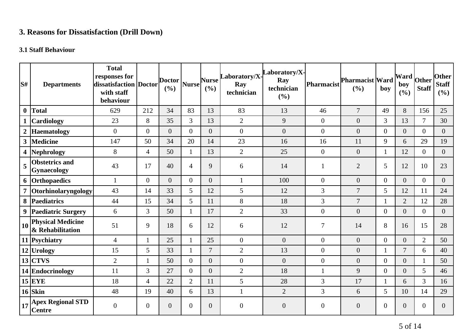## **3. Reasons for Dissatisfaction (Drill Down)**

## **3.1 Staff Behaviour**

| lS#              | <b>Departments</b>                                | <b>Total</b><br>responses for<br>dissatisfaction Doctor<br>with staff<br>behaviour |                  | <b>Doctor</b><br>(%) | <b>Nurse</b>   | <b>Nurse</b><br>(%) | Laboratory/X-<br>Ray<br>technician | aboratory/X-<br>Ray<br>technician<br>(%) | Pharmacist       | <b>Pharmacist Ward</b><br>(%) | boy            | Ward<br>boy<br>(%) | Other<br><b>Staff</b> | <b>Other</b><br><b>Staff</b><br>(%) |
|------------------|---------------------------------------------------|------------------------------------------------------------------------------------|------------------|----------------------|----------------|---------------------|------------------------------------|------------------------------------------|------------------|-------------------------------|----------------|--------------------|-----------------------|-------------------------------------|
| $\boldsymbol{0}$ | Total                                             | 629                                                                                | 212              | 34                   | 83             | 13                  | 83                                 | 13                                       | 46               | $\overline{7}$                | 49             | 8                  | 156                   | 25                                  |
|                  | <b>Cardiology</b>                                 | 23                                                                                 | 8                | 35                   | 3              | 13                  | $\mathbf{2}$                       | 9                                        | $\overline{0}$   | $\boldsymbol{0}$              | 3              | 13                 | $\overline{7}$        | 30                                  |
| $\boldsymbol{2}$ | <b>Haematology</b>                                | $\mathbf{0}$                                                                       | $\boldsymbol{0}$ | $\overline{0}$       | $\overline{0}$ | $\overline{0}$      | $\boldsymbol{0}$                   | $\overline{0}$                           | $\boldsymbol{0}$ | $\boldsymbol{0}$              | $\overline{0}$ | $\boldsymbol{0}$   | $\overline{0}$        | $\boldsymbol{0}$                    |
| $\mathbf{3}$     | <b>Medicine</b>                                   | 147                                                                                | 50               | 34                   | 20             | 14                  | 23                                 | 16                                       | 16               | 11                            | 9              | 6                  | 29                    | 19                                  |
|                  | 4 Nephrology                                      | 8                                                                                  | $\overline{4}$   | 50                   | $\mathbf{1}$   | 13                  | $\mathfrak{2}$                     | 25                                       | $\overline{0}$   | $\boldsymbol{0}$              |                | 12                 | $\overline{0}$        | $\overline{0}$                      |
| 5                | <b>Obstetrics and</b><br><b>Gynaecology</b>       | 43                                                                                 | 17               | 40                   | $\overline{4}$ | 9                   | 6                                  | 14                                       | 1                | $\overline{2}$                | 5              | 12                 | 10                    | 23                                  |
|                  | 6 Orthopaedics                                    | $\mathbf{1}$                                                                       | $\mathbf{0}$     | $\overline{0}$       | $\overline{0}$ | $\overline{0}$      | $\mathbf{1}$                       | 100                                      | $\overline{0}$   | $\overline{0}$                | $\overline{0}$ | $\overline{0}$     | $\overline{0}$        | $\overline{0}$                      |
|                  | Otorhinolaryngology                               | 43                                                                                 | 14               | 33                   | 5              | 12                  | 5                                  | 12                                       | 3                | $\overline{7}$                | 5              | 12                 | 11                    | 24                                  |
|                  | 8 Paediatrics                                     | 44                                                                                 | 15               | 34                   | 5              | 11                  | $8\,$                              | 18                                       | 3                | $\overline{7}$                |                | $\overline{2}$     | 12                    | 28                                  |
|                  | 9 Paediatric Surgery                              | 6                                                                                  | $\overline{3}$   | 50                   | 1              | 17                  | $\overline{2}$                     | 33                                       | $\boldsymbol{0}$ | $\overline{0}$                | $\overline{0}$ | $\overline{0}$     | $\overline{0}$        | $\overline{0}$                      |
| 10 <sup>1</sup>  | <b>Physical Medicine</b><br>& Rehabilitation      | 51                                                                                 | 9                | 18                   | 6              | 12                  | 6                                  | 12                                       | $\tau$           | 14                            | 8              | 16                 | 15                    | 28                                  |
|                  | 11 Psychiatry                                     | $\overline{4}$                                                                     | $\mathbf{1}$     | 25                   | 1              | 25                  | $\mathbf{0}$                       | $\overline{0}$                           | $\overline{0}$   | $\overline{0}$                | $\overline{0}$ | $\overline{0}$     | $\overline{2}$        | 50                                  |
|                  | 12 Urology                                        | 15                                                                                 | 5                | 33                   | 1              | $\overline{7}$      | $\overline{2}$                     | 13                                       | $\overline{0}$   | $\overline{0}$                | 1              | $\overline{7}$     | 6                     | 40                                  |
|                  | $13$ CTVS                                         | $\overline{2}$                                                                     | $\mathbf{1}$     | 50                   | $\Omega$       | $\overline{0}$      | $\boldsymbol{0}$                   | $\overline{0}$                           | $\boldsymbol{0}$ | $\overline{0}$                | $\overline{0}$ | $\overline{0}$     | $\mathbf{1}$          | 50                                  |
|                  | 14 Endocrinology                                  | 11                                                                                 | 3                | 27                   | $\overline{0}$ | $\overline{0}$      | $\sqrt{2}$                         | 18                                       |                  | 9                             | $\overline{0}$ | $\overline{0}$     | 5                     | 46                                  |
|                  | $15$ EYE                                          | 18                                                                                 | $\overline{4}$   | 22                   | $\overline{2}$ | 11                  | 5                                  | 28                                       | 3                | 17                            | $\mathbf{1}$   | 6                  | $\overline{3}$        | 16                                  |
|                  | $16$ Skin                                         | 48                                                                                 | 19               | 40                   | 6              | 13                  | $\mathbf{1}$                       | $\overline{2}$                           | 3                | 6                             | 5              | 10                 | 14                    | 29                                  |
|                  | $\frac{1}{17}$ Apex Regional STD<br><b>Centre</b> | $\overline{0}$                                                                     | $\overline{0}$   | 0                    | $\overline{0}$ | $\overline{0}$      | $\overline{0}$                     | $\overline{0}$                           | $\overline{0}$   | $\overline{0}$                | $\mathbf{0}$   | $\overline{0}$     | $\theta$              | $\overline{0}$                      |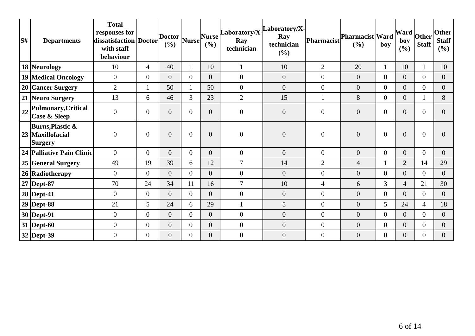| S# | <b>Departments</b>                                                | <b>Total</b><br>responses for<br>dissatisfaction   Doctor  <br>with staff<br>behaviour |                  | $\left  \text{Dotor} \right _{\text{Nurse}}$<br>(%) |                | <b>Nurse</b><br>(9/0) | Ray<br>technician | $\begin{bmatrix} \text{Laboratory/X} \\ \end{bmatrix}$<br>Ray<br>technician<br>(%) | Pharmacist       | <b>Pharmacist Ward</b><br>(%) | boy            | $\frac{1}{2}$ [Ward $\frac{1}{2}$ other $\frac{1}{2}$<br>boy<br>(%) | <b>Staff</b>     | <b>Other</b><br><b>Staff</b><br>(%) |
|----|-------------------------------------------------------------------|----------------------------------------------------------------------------------------|------------------|-----------------------------------------------------|----------------|-----------------------|-------------------|------------------------------------------------------------------------------------|------------------|-------------------------------|----------------|---------------------------------------------------------------------|------------------|-------------------------------------|
|    | 18 Neurology                                                      | 10                                                                                     | $\overline{4}$   | 40                                                  |                | 10                    |                   | 10                                                                                 | 2                | 20                            | 1              | 10                                                                  |                  | 10                                  |
|    | 19 Medical Oncology                                               | $\mathbf{0}$                                                                           | $\overline{0}$   | $\overline{0}$                                      | $\theta$       | $\overline{0}$        | $\overline{0}$    | $\overline{0}$                                                                     | $\overline{0}$   | $\overline{0}$                | $\overline{0}$ | $\overline{0}$                                                      | $\overline{0}$   | $\overline{0}$                      |
|    | 20 Cancer Surgery                                                 | $\overline{2}$                                                                         |                  | 50                                                  |                | 50                    | $\overline{0}$    | $\overline{0}$                                                                     | $\overline{0}$   | $\overline{0}$                | $\Omega$       | $\overline{0}$                                                      | $\overline{0}$   | $\Omega$                            |
|    | 21 Neuro Surgery                                                  | 13                                                                                     | 6                | 46                                                  | 3              | 23                    | $\overline{2}$    | 15                                                                                 | $\mathbf{1}$     | 8                             | $\overline{0}$ | $\overline{0}$                                                      |                  | 8                                   |
| 22 | Pulmonary, Critical<br><b>Case &amp; Sleep</b>                    | $\boldsymbol{0}$                                                                       | $\overline{0}$   | $\overline{0}$                                      | $\theta$       | $\Omega$              | $\boldsymbol{0}$  | $\overline{0}$                                                                     | $\mathbf{0}$     | $\overline{0}$                | $\overline{0}$ | $\overline{0}$                                                      | $\overline{0}$   | 0                                   |
|    | <b>Burns, Plastic &amp;</b><br>23 Maxillofacial<br><b>Surgery</b> | $\overline{0}$                                                                         | $\overline{0}$   | $\overline{0}$                                      | $\theta$       | $\overline{0}$        | $\boldsymbol{0}$  | $\overline{0}$                                                                     | $\mathbf{0}$     | $\overline{0}$                | $\overline{0}$ | $\overline{0}$                                                      | $\theta$         | 0                                   |
|    | 24 Palliative Pain Clinic                                         | $\overline{0}$                                                                         | $\overline{0}$   | $\overline{0}$                                      | $\overline{0}$ | $\overline{0}$        | $\boldsymbol{0}$  | $\overline{0}$                                                                     | $\boldsymbol{0}$ | $\overline{0}$                | $\overline{0}$ | $\overline{0}$                                                      | $\overline{0}$   | $\overline{0}$                      |
|    | 25 General Surgery                                                | 49                                                                                     | 19               | 39                                                  | 6              | 12                    | $\overline{7}$    | 14                                                                                 | $\overline{2}$   | 4                             |                | $\overline{2}$                                                      | 14               | 29                                  |
|    | 26 Radiotherapy                                                   | $\theta$                                                                               | $\overline{0}$   | $\overline{0}$                                      | $\theta$       | $\overline{0}$        | $\overline{0}$    | $\overline{0}$                                                                     | $\overline{0}$   | $\overline{0}$                | $\overline{0}$ | $\overline{0}$                                                      | $\overline{0}$   | $\overline{0}$                      |
|    | 27 Dept-87                                                        | 70                                                                                     | 24               | 34                                                  | 11             | 16                    | $\overline{7}$    | 10                                                                                 | $\overline{4}$   | 6                             | $\overline{3}$ | $\overline{4}$                                                      | 21               | 30                                  |
|    | $28$ Dept-41                                                      | $\boldsymbol{0}$                                                                       | $\overline{0}$   | $\overline{0}$                                      | $\Omega$       | $\overline{0}$        | $\boldsymbol{0}$  | $\boldsymbol{0}$                                                                   | $\boldsymbol{0}$ | $\overline{0}$                | $\overline{0}$ | $\overline{0}$                                                      | $\overline{0}$   | $\overline{0}$                      |
|    | $29$ Dept-88                                                      | 21                                                                                     | 5                | 24                                                  | 6              | 29                    |                   | 5                                                                                  | $\overline{0}$   | $\overline{0}$                | 5 <sup>5</sup> | 24                                                                  | $\overline{4}$   | 18                                  |
|    | $30$ Dept-91                                                      | $\mathbf{0}$                                                                           | $\overline{0}$   | $\overline{0}$                                      | $\Omega$       | $\overline{0}$        | $\overline{0}$    | $\overline{0}$                                                                     | $\overline{0}$   | $\overline{0}$                | $\overline{0}$ | $\overline{0}$                                                      | $\overline{0}$   | $\overline{0}$                      |
|    | $31$ Dept-60                                                      | $\boldsymbol{0}$                                                                       | $\overline{0}$   | $\overline{0}$                                      | $\theta$       | $\overline{0}$        | $\boldsymbol{0}$  | $\boldsymbol{0}$                                                                   | $\boldsymbol{0}$ | $\boldsymbol{0}$              | $\overline{0}$ | $\overline{0}$                                                      | $\boldsymbol{0}$ | $\overline{0}$                      |
|    | 32 Dept-39                                                        | $\boldsymbol{0}$                                                                       | $\boldsymbol{0}$ | $\overline{0}$                                      | $\overline{0}$ | $\overline{0}$        | $\overline{0}$    | $\boldsymbol{0}$                                                                   | $\overline{0}$   | $\overline{0}$                | $\overline{0}$ | $\overline{0}$                                                      | $\boldsymbol{0}$ | $\Omega$                            |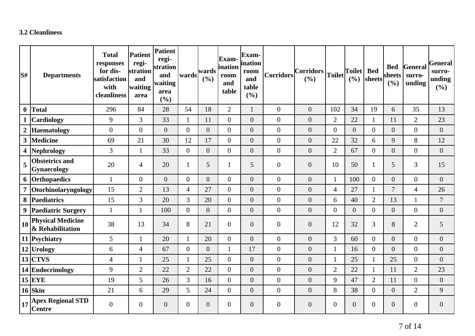#### **3.2 Cleanliness**

| S#               | <b>Departments</b>                           | <b>Total</b><br>responses<br>for dis-<br>satisfaction<br>with<br>cleanliness | <b>Patient</b><br>regi-<br>stration<br>and<br>waiting<br>area | Patient<br>regi-<br>stration<br>and<br>waiting<br>area<br>(%) | wards          | wards<br>(%)     | <b>Exam-</b><br>ination<br>room<br>and<br>table | Exam-<br>ination<br>room<br>and<br>table<br>(%) | <b>Corridors</b> | <b>Corridors</b><br>(%) | <b>Toilet</b>    | <b>Toilet</b><br>(9/0) | <b>Bed</b><br>sheets | <b>Bed</b><br>sheets<br>(%) | General<br>surro-<br>unding | <b>General</b><br>surro-<br>unding<br>(9/0) |
|------------------|----------------------------------------------|------------------------------------------------------------------------------|---------------------------------------------------------------|---------------------------------------------------------------|----------------|------------------|-------------------------------------------------|-------------------------------------------------|------------------|-------------------------|------------------|------------------------|----------------------|-----------------------------|-----------------------------|---------------------------------------------|
| $\boldsymbol{0}$ | <b>Total</b>                                 | 296                                                                          | 84                                                            | 28                                                            | 54             | 18               | $\overline{2}$                                  | $\mathbf{1}$                                    | $\theta$         | $\overline{0}$          | 102              | 34                     | 19                   | 6                           | 35                          | 13                                          |
|                  | Cardiology                                   | 9                                                                            | $\overline{3}$                                                | 33                                                            | $\mathbf{1}$   | 11               | $\overline{0}$                                  | $\overline{0}$                                  | $\mathbf{0}$     | $\overline{0}$          | $\overline{2}$   | 22                     | 1                    | 11                          | $\overline{2}$              | 23                                          |
| $\boldsymbol{2}$ | Haematology                                  | $\overline{0}$                                                               | $\overline{0}$                                                | $\overline{0}$                                                | $\overline{0}$ | $\overline{0}$   | $\overline{0}$                                  | $\overline{0}$                                  | $\mathbf{0}$     | $\overline{0}$          | $\overline{0}$   | $\overline{0}$         | $\overline{0}$       | $\overline{0}$              | $\overline{0}$              | $\boldsymbol{0}$                            |
| $\mathbf{3}$     | Medicine                                     | 69                                                                           | 21                                                            | 30                                                            | 12             | 17               | $\overline{0}$                                  | $\overline{0}$                                  | $\boldsymbol{0}$ | $\overline{0}$          | 22               | 32                     | 6                    | 9                           | 8                           | 12                                          |
|                  | 4  Nephrology                                | $\overline{3}$                                                               | $\mathbf{1}$                                                  | 33                                                            | $\overline{0}$ | $\boldsymbol{0}$ | $\overline{0}$                                  | $\boldsymbol{0}$                                | $\boldsymbol{0}$ | $\overline{0}$          | $\overline{2}$   | 67                     | $\overline{0}$       | $\boldsymbol{0}$            | $\overline{0}$              | $\boldsymbol{0}$                            |
| 5                | <b>Obstetrics and</b><br><b>Gynaecology</b>  | 20                                                                           | $\overline{4}$                                                | 20                                                            | $\mathbf{1}$   | 5                |                                                 | 5                                               | $\overline{0}$   | $\overline{0}$          | 10               | 50                     | $\mathbf{1}$         | 5                           | 3                           | 15                                          |
|                  | 6 Orthopaedics                               | $\mathbf{1}$                                                                 | $\overline{0}$                                                | $\overline{0}$                                                | $\overline{0}$ | $\boldsymbol{0}$ | $\overline{0}$                                  | $\boldsymbol{0}$                                | $\mathbf{0}$     | $\overline{0}$          | $\mathbf{1}$     | 100                    | $\overline{0}$       | $\boldsymbol{0}$            | $\overline{0}$              | $\boldsymbol{0}$                            |
| $\overline{7}$   | Otorhinolaryngology                          | 15                                                                           | $\overline{2}$                                                | 13                                                            | $\overline{4}$ | 27               | $\overline{0}$                                  | $\overline{0}$                                  | $\boldsymbol{0}$ | $\overline{0}$          | $\overline{4}$   | 27                     | 1                    | $\overline{7}$              | 4                           | 26                                          |
| 8                | Paediatrics                                  | 15                                                                           | 3                                                             | 20                                                            | 3              | 20               | $\overline{0}$                                  | $\overline{0}$                                  | $\mathbf{0}$     | $\overline{0}$          | 6                | 40                     | $\overline{2}$       | 13                          | $\mathbf{1}$                | $\overline{7}$                              |
| 9                | <b>Paediatric Surgery</b>                    | $\mathbf{1}$                                                                 | 1                                                             | 100                                                           | $\overline{0}$ | $\overline{0}$   | $\overline{0}$                                  | $\boldsymbol{0}$                                | $\overline{0}$   | $\overline{0}$          | $\overline{0}$   | $\overline{0}$         | $\overline{0}$       | $\boldsymbol{0}$            | $\overline{0}$              | $\boldsymbol{0}$                            |
| 10               | <b>Physical Medicine</b><br>& Rehabilitation | 38                                                                           | 13                                                            | 34                                                            | 8              | 21               | $\overline{0}$                                  | $\boldsymbol{0}$                                | $\boldsymbol{0}$ | $\overline{0}$          | 12               | 32                     | 3                    | $8\,$                       | $\overline{2}$              | 5                                           |
|                  | 11 Psychiatry                                | 5                                                                            | $\mathbf{1}$                                                  | 20                                                            |                | 20               | $\overline{0}$                                  | $\overline{0}$                                  | $\overline{0}$   | $\overline{0}$          | 3                | 60                     | $\overline{0}$       | $\overline{0}$              | $\overline{0}$              | $\boldsymbol{0}$                            |
|                  | 12 Urology                                   | 6                                                                            | $\overline{4}$                                                | 67                                                            | $\overline{0}$ | $\overline{0}$   | $\mathbf{1}$                                    | 17                                              | $\boldsymbol{0}$ | $\overline{0}$          | $\mathbf{1}$     | 16                     | $\overline{0}$       | $\boldsymbol{0}$            | $\overline{0}$              | $\overline{0}$                              |
|                  | $13$ CTVS                                    | $\overline{4}$                                                               | $\mathbf{1}$                                                  | 25                                                            | $\mathbf{1}$   | 25               | $\overline{0}$                                  | $\overline{0}$                                  | $\mathbf{0}$     | $\overline{0}$          | $\mathbf{1}$     | 25                     | $\mathbf{1}$         | 25                          | $\overline{0}$              | $\boldsymbol{0}$                            |
|                  | 14 Endocrinology                             | 9                                                                            | $\overline{2}$                                                | 22                                                            | $\overline{2}$ | 22               | $\overline{0}$                                  | $\boldsymbol{0}$                                | $\overline{0}$   | $\boldsymbol{0}$        | $\overline{2}$   | 22                     | $\mathbf{1}$         | 11                          | $\overline{2}$              | 23                                          |
|                  | $15$ EYE                                     | 19                                                                           | 5                                                             | 26                                                            | 3              | 16               | $\overline{0}$                                  | $\overline{0}$                                  | $\boldsymbol{0}$ | $\overline{0}$          | 9                | 47                     | $\overline{2}$       | 11                          | $\overline{0}$              | $\boldsymbol{0}$                            |
|                  | $16$ Skin                                    | 21                                                                           | 6                                                             | 29                                                            | 5              | 24               | $\overline{0}$                                  | $\boldsymbol{0}$                                | $\boldsymbol{0}$ | $\overline{0}$          | 8                | 38                     | $\overline{0}$       | $\boldsymbol{0}$            | $\overline{2}$              | 9                                           |
| 17               | <b>Apex Regional STD</b><br><b>Centre</b>    | $\overline{0}$                                                               | $\overline{0}$                                                | $\overline{0}$                                                | $\overline{0}$ | $\overline{0}$   | $\overline{0}$                                  | $\overline{0}$                                  | $\boldsymbol{0}$ | $\overline{0}$          | $\boldsymbol{0}$ | $\overline{0}$         | $\overline{0}$       | $\boldsymbol{0}$            | $\overline{0}$              | $\overline{0}$                              |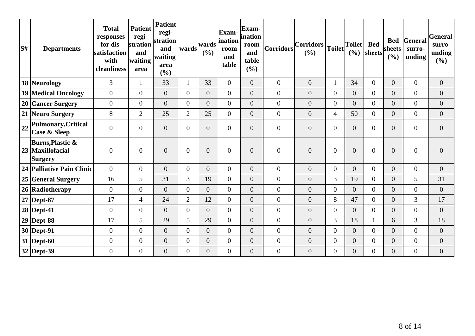| S# | <b>Departments</b>                                                | <b>Total</b><br>responses<br>for dis-<br>satisfaction<br>with<br>cleanliness | <b>Patient</b><br>regi-<br>stration<br>and<br>waiting<br>area | <b>Patient</b><br>regi-<br>stration<br>and<br>waiting<br>area<br>(%) | wards          | wards<br>(%)     | Exam-<br>ination<br>room<br>and<br>table | Exam-<br>ination<br>room<br>and<br>table<br>(%) | Corridors        | $\vert$ Corridors $\vert$<br>(%) |                  | $ \text{Toilet} $<br>(%) | <b>Bed</b><br>sheets | <b>Bed</b><br>sheets<br>(%) | General<br>surro-<br>unding | <b>General</b><br>surro-<br>unding<br>$(\%)$ |
|----|-------------------------------------------------------------------|------------------------------------------------------------------------------|---------------------------------------------------------------|----------------------------------------------------------------------|----------------|------------------|------------------------------------------|-------------------------------------------------|------------------|----------------------------------|------------------|--------------------------|----------------------|-----------------------------|-----------------------------|----------------------------------------------|
|    | 18 Neurology                                                      | 3                                                                            |                                                               | 33                                                                   | $\mathbf{1}$   | 33               | $\overline{0}$                           | $\overline{0}$                                  | $\overline{0}$   | $\overline{0}$                   | 1                | 34                       | $\overline{0}$       | $\overline{0}$              | $\overline{0}$              | $\overline{0}$                               |
|    | 19 Medical Oncology                                               | $\overline{0}$                                                               | $\overline{0}$                                                | $\overline{0}$                                                       | $\Omega$       | $\overline{0}$   | $\overline{0}$                           | $\overline{0}$                                  | $\mathbf{0}$     | $\boldsymbol{0}$                 | $\boldsymbol{0}$ | $\overline{0}$           | $\overline{0}$       | $\overline{0}$              | $\overline{0}$              | $\overline{0}$                               |
|    | 20 Cancer Surgery                                                 | $\Omega$                                                                     | $\overline{0}$                                                | $\overline{0}$                                                       | $\Omega$       | $\overline{0}$   | $\overline{0}$                           | $\overline{0}$                                  | $\mathbf{0}$     | $\overline{0}$                   | $\overline{0}$   | $\overline{0}$           | $\overline{0}$       | $\overline{0}$              | $\overline{0}$              | $\overline{0}$                               |
|    | 21 Neuro Surgery                                                  | 8                                                                            | $\overline{2}$                                                | 25                                                                   | $\overline{2}$ | 25               | $\overline{0}$                           | $\overline{0}$                                  | $\overline{0}$   | $\boldsymbol{0}$                 | $\overline{4}$   | 50                       | $\overline{0}$       | $\overline{0}$              | $\overline{0}$              | $\boldsymbol{0}$                             |
| 22 | Pulmonary, Critical<br><b>Case &amp; Sleep</b>                    | $\overline{0}$                                                               | $\overline{0}$                                                | $\overline{0}$                                                       | $\overline{0}$ | $\boldsymbol{0}$ | $\overline{0}$                           | $\overline{0}$                                  | $\mathbf{0}$     | $\boldsymbol{0}$                 | $\boldsymbol{0}$ | $\overline{0}$           | $\overline{0}$       | $\boldsymbol{0}$            | $\boldsymbol{0}$            | $\overline{0}$                               |
|    | <b>Burns, Plastic &amp;</b><br>23 Maxillofacial<br><b>Surgery</b> | $\overline{0}$                                                               | $\overline{0}$                                                | $\overline{0}$                                                       | $\overline{0}$ | $\boldsymbol{0}$ | $\overline{0}$                           | $\overline{0}$                                  | $\overline{0}$   | $\boldsymbol{0}$                 | $\boldsymbol{0}$ | $\overline{0}$           | $\overline{0}$       | $\boldsymbol{0}$            | $\boldsymbol{0}$            | $\mathbf{0}$                                 |
|    | 24 Palliative Pain Clinic                                         | $\Omega$                                                                     | $\Omega$                                                      | $\overline{0}$                                                       | $\Omega$       | $\overline{0}$   | $\overline{0}$                           | $\overline{0}$                                  | $\overline{0}$   | $\overline{0}$                   | $\overline{0}$   | $\Omega$                 | $\Omega$             | $\overline{0}$              | $\overline{0}$              | $\overline{0}$                               |
|    | 25 General Surgery                                                | 16                                                                           | 5                                                             | 31                                                                   | 3              | 19               | $\overline{0}$                           | $\overline{0}$                                  | $\overline{0}$   | $\overline{0}$                   | 3                | 19                       | $\Omega$             | $\overline{0}$              | 5                           | 31                                           |
|    | 26 Radiotherapy                                                   | $\Omega$                                                                     | $\overline{0}$                                                | $\overline{0}$                                                       | $\Omega$       | $\overline{0}$   | $\overline{0}$                           | $\overline{0}$                                  | $\boldsymbol{0}$ | $\overline{0}$                   | $\overline{0}$   | $\Omega$                 | $\Omega$             | $\overline{0}$              | $\overline{0}$              | $\mathbf{0}$                                 |
|    | $27$ Dept-87                                                      | 17                                                                           | $\overline{4}$                                                | 24                                                                   | $\overline{2}$ | 12               | $\boldsymbol{0}$                         | $\overline{0}$                                  | $\overline{0}$   | $\overline{0}$                   | 8                | 47                       | $\Omega$             | $\overline{0}$              | 3                           | 17                                           |
|    | $28$ Dept-41                                                      | $\overline{0}$                                                               | $\overline{0}$                                                | $\overline{0}$                                                       | $\overline{0}$ | $\overline{0}$   | $\overline{0}$                           | $\overline{0}$                                  | $\overline{0}$   | $\overline{0}$                   | $\boldsymbol{0}$ | $\overline{0}$           | $\overline{0}$       | $\boldsymbol{0}$            | $\overline{0}$              | $\overline{0}$                               |
|    | $29$ Dept-88                                                      | 17                                                                           | 5                                                             | 29                                                                   | 5              | 29               | $\overline{0}$                           | $\overline{0}$                                  | $\overline{0}$   | $\boldsymbol{0}$                 | 3                | 18                       |                      | 6                           | 3                           | 18                                           |
|    | $30$ Dept-91                                                      | $\overline{0}$                                                               | $\overline{0}$                                                | $\overline{0}$                                                       | $\Omega$       | $\overline{0}$   | $\overline{0}$                           | $\overline{0}$                                  | $\overline{0}$   | $\overline{0}$                   | $\boldsymbol{0}$ | $\overline{0}$           | $\Omega$             | $\boldsymbol{0}$            | $\overline{0}$              | $\overline{0}$                               |
|    | $31$ Dept-60                                                      | $\mathbf{0}$                                                                 | $\overline{0}$                                                | $\boldsymbol{0}$                                                     | $\overline{0}$ | $\boldsymbol{0}$ | $\boldsymbol{0}$                         | $\overline{0}$                                  | $\boldsymbol{0}$ | $\boldsymbol{0}$                 | $\boldsymbol{0}$ | $\overline{0}$           | $\overline{0}$       | $\overline{0}$              | $\overline{0}$              | $\boldsymbol{0}$                             |
|    | 32 Dept-39                                                        | $\boldsymbol{0}$                                                             | $\boldsymbol{0}$                                              | $\overline{0}$                                                       | $\overline{0}$ | $\overline{0}$   | $\overline{0}$                           | $\overline{0}$                                  | $\overline{0}$   | $\overline{0}$                   | $\overline{0}$   | $\overline{0}$           | 0                    | $\boldsymbol{0}$            | $\overline{0}$              | $\overline{0}$                               |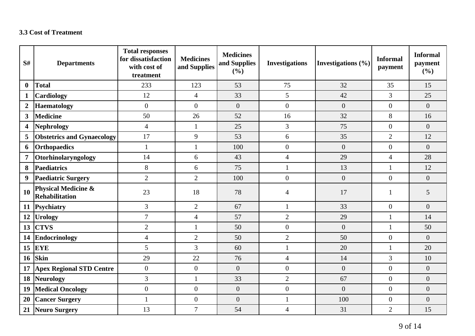### **3.3 Cost of Treatment**

| S#                      | <b>Departments</b>                                      | <b>Total responses</b><br>for dissatisfaction<br>with cost of<br>treatment | <b>Medicines</b><br>and Supplies | <b>Medicines</b><br>and Supplies<br>(%) | <b>Investigations</b> | Investigations $(\% )$ | <b>Informal</b><br>payment | <b>Informal</b><br>payment<br>(%) |
|-------------------------|---------------------------------------------------------|----------------------------------------------------------------------------|----------------------------------|-----------------------------------------|-----------------------|------------------------|----------------------------|-----------------------------------|
| $\bf{0}$                | <b>Total</b>                                            | 233                                                                        | 123                              | 53                                      | 75                    | 32                     | 35                         | 15                                |
| 1                       | Cardiology                                              | 12                                                                         | $\overline{4}$                   | 33                                      | 5                     | 42                     | 3                          | 25                                |
| $\boldsymbol{2}$        | <b>Haematology</b>                                      | $\boldsymbol{0}$                                                           | $\Omega$                         | $\overline{0}$                          | $\overline{0}$        | $\overline{0}$         | $\overline{0}$             | $\overline{0}$                    |
| $\overline{\mathbf{3}}$ | <b>Medicine</b>                                         | 50                                                                         | 26                               | 52                                      | 16                    | 32                     | 8                          | 16                                |
| $\overline{\mathbf{4}}$ | Nephrology                                              | $\overline{4}$                                                             | 1                                | 25                                      | $\overline{3}$        | 75                     | $\overline{0}$             | $\overline{0}$                    |
| 5                       | <b>Obstetrics and Gynaecology</b>                       | 17                                                                         | 9                                | 53                                      | 6                     | 35                     | $\overline{2}$             | 12                                |
| 6                       | <b>Orthopaedics</b>                                     | $\mathbf{1}$                                                               | 1                                | 100                                     | $\overline{0}$        | $\overline{0}$         | $\overline{0}$             | $\overline{0}$                    |
| $\overline{7}$          | Otorhinolaryngology                                     | 14                                                                         | 6                                | 43                                      | $\overline{4}$        | 29                     | $\overline{4}$             | 28                                |
| 8                       | <b>Paediatrics</b>                                      | $8\,$                                                                      | 6                                | 75                                      | $\mathbf{1}$          | 13                     | $\mathbf{1}$               | 12                                |
| 9                       | <b>Paediatric Surgery</b>                               | $\overline{2}$                                                             | $\overline{2}$                   | 100                                     | $\overline{0}$        | $\overline{0}$         | $\overline{0}$             | $\overline{0}$                    |
| <b>10</b>               | <b>Physical Medicine &amp;</b><br><b>Rehabilitation</b> | 23                                                                         | 18                               | 78                                      | $\overline{A}$        | 17                     |                            | 5                                 |
| 11                      | Psychiatry                                              | 3                                                                          | $\overline{2}$                   | 67                                      | $\mathbf{1}$          | 33                     | $\theta$                   | $\overline{0}$                    |
| 12                      | <b>Urology</b>                                          | $\overline{7}$                                                             | $\overline{4}$                   | 57                                      | $\overline{2}$        | 29                     | $\mathbf{1}$               | 14                                |
| 13                      | <b>CTVS</b>                                             | $\mathbf{2}$                                                               | 1                                | 50                                      | $\boldsymbol{0}$      | $\boldsymbol{0}$       | $\mathbf{1}$               | 50                                |
| 14                      | Endocrinology                                           | $\overline{4}$                                                             | $\overline{2}$                   | 50                                      | $\overline{2}$        | 50                     | $\overline{0}$             | $\overline{0}$                    |
| 15                      | <b>EYE</b>                                              | 5                                                                          | 3                                | 60                                      | $\mathbf{1}$          | 20                     | $\mathbf{1}$               | 20                                |
| <b>16</b>               | Skin                                                    | 29                                                                         | 22                               | 76                                      | $\overline{4}$        | 14                     | $\overline{3}$             | 10                                |
| 17                      | <b>Apex Regional STD Centre</b>                         | $\overline{0}$                                                             | $\overline{0}$                   | $\overline{0}$                          | $\boldsymbol{0}$      | $\overline{0}$         | $\overline{0}$             | $\overline{0}$                    |
| 18                      | Neurology                                               | 3                                                                          | 1                                | 33                                      | $\overline{2}$        | 67                     | $\overline{0}$             | $\overline{0}$                    |
| 19                      | <b>Medical Oncology</b>                                 | $\boldsymbol{0}$                                                           | $\overline{0}$                   | $\boldsymbol{0}$                        | $\boldsymbol{0}$      | $\overline{0}$         | $\overline{0}$             | $\overline{0}$                    |
| 20                      | <b>Cancer Surgery</b>                                   | $\mathbf{1}$                                                               | $\overline{0}$                   | $\boldsymbol{0}$                        | $\mathbf{1}$          | 100                    | $\overline{0}$             | $\overline{0}$                    |
| 21                      | Neuro Surgery                                           | 13                                                                         | $\overline{7}$                   | 54                                      | $\overline{4}$        | 31                     | $\overline{2}$             | 15                                |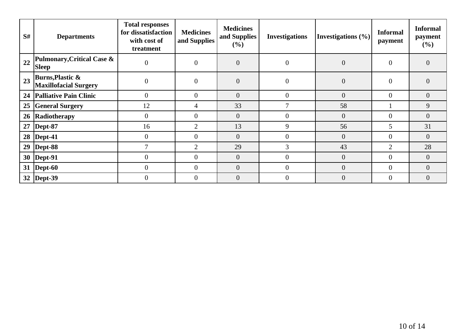| S# | <b>Departments</b>                                          | <b>Total responses</b><br>for dissatisfaction<br>with cost of<br>treatment | <b>Medicines</b><br>and Supplies | <b>Medicines</b><br>and Supplies<br>(%) | <b>Investigations</b> | Investigations $(\% )$ | <b>Informal</b><br>payment | <b>Informal</b><br>payment<br>$(\% )$ |
|----|-------------------------------------------------------------|----------------------------------------------------------------------------|----------------------------------|-----------------------------------------|-----------------------|------------------------|----------------------------|---------------------------------------|
| 22 | Pulmonary, Critical Case &<br><b>Sleep</b>                  | $\theta$                                                                   | $\overline{0}$                   | $\overline{0}$                          | $\overline{0}$        | $\overline{0}$         | $\overline{0}$             | $\overline{0}$                        |
| 23 | <b>Burns, Plastic &amp;</b><br><b>Maxillofacial Surgery</b> | $\overline{0}$                                                             | $\overline{0}$                   | $\overline{0}$                          | $\overline{0}$        | $\overline{0}$         | $\Omega$                   | $\overline{0}$                        |
|    | 24   Palliative Pain Clinic                                 | $\overline{0}$                                                             | $\overline{0}$                   | $\overline{0}$                          | $\Omega$              | $\overline{0}$         | $\Omega$                   | $\overline{0}$                        |
| 25 | <b>General Surgery</b>                                      | 12                                                                         | 4                                | 33                                      |                       | 58                     |                            | 9                                     |
|    | 26 Radiotherapy                                             | $\overline{0}$                                                             | $\Omega$                         | $\overline{0}$                          | $\theta$              | $\overline{0}$         | $\Omega$                   | $\overline{0}$                        |
|    | $27$ Dept-87                                                | 16                                                                         | $\overline{2}$                   | 13                                      | 9                     | 56                     | 5                          | 31                                    |
|    | 28   Dept-41                                                | $\overline{0}$                                                             | $\overline{0}$                   | $\overline{0}$                          | $\overline{0}$        | $\overline{0}$         | $\Omega$                   | $\overline{0}$                        |
|    | 29   Dept-88                                                | $\tau$                                                                     | $\overline{2}$                   | 29                                      | $\overline{3}$        | 43                     | 2                          | 28                                    |
|    | 30   Dept-91                                                | $\overline{0}$                                                             | $\Omega$                         | $\overline{0}$                          | $\Omega$              | $\overline{0}$         | 0                          | $\overline{0}$                        |
|    | 31   Dept-60                                                | $\overline{0}$                                                             | $\theta$                         | $\overline{0}$                          | $\theta$              | $\overline{0}$         | $\theta$                   | $\overline{0}$                        |
|    | 32   Dept-39                                                | $\theta$                                                                   | $\Omega$                         | $\overline{0}$                          | $\Omega$              | $\overline{0}$         | $\Omega$                   | $\overline{0}$                        |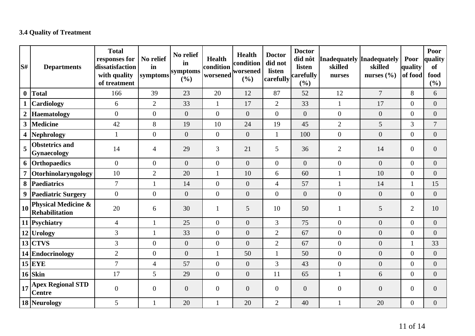## **3.4 Quality of Treatment**

| S#                      | <b>Departments</b>                               | <b>Total</b><br>responses for<br>dissatisfaction<br>with quality<br>of treatment | No relief<br>in<br>symptoms | No relief<br>in<br>symptoms<br>(%) | <b>Health</b><br>condition<br>worsened | <b>Health</b><br>condition<br> worsened<br>(%) | <b>Doctor</b><br>did not<br>listen<br>carefully | <b>Doctor</b><br>did nôt<br>listen<br>carefully<br>(%) | Inadequately Inadequately<br>skilled<br>nurses | skilled<br>nurses $(\% )$ | Poor<br>quality<br>of food | Poor<br>quality<br><b>of</b><br>food<br>$(\frac{6}{6})$ |
|-------------------------|--------------------------------------------------|----------------------------------------------------------------------------------|-----------------------------|------------------------------------|----------------------------------------|------------------------------------------------|-------------------------------------------------|--------------------------------------------------------|------------------------------------------------|---------------------------|----------------------------|---------------------------------------------------------|
| $\boldsymbol{0}$        | Total                                            | 166                                                                              | 39                          | 23                                 | 20                                     | 12                                             | 87                                              | 52                                                     | 12                                             | $\overline{7}$            | 8                          | 6                                                       |
| $\mathbf{1}$            | <b>Cardiology</b>                                | 6                                                                                | $\overline{2}$              | 33                                 | $\mathbf{1}$                           | 17                                             | $\overline{2}$                                  | 33                                                     | $\mathbf{1}$                                   | 17                        | $\overline{0}$             | $\overline{0}$                                          |
| $\boldsymbol{2}$        | Haematology                                      | $\overline{0}$                                                                   | $\overline{0}$              | $\overline{0}$                     | $\overline{0}$                         | $\overline{0}$                                 | $\overline{0}$                                  | $\overline{0}$                                         | $\overline{0}$                                 | $\overline{0}$            | $\overline{0}$             | $\overline{0}$                                          |
| $\mathbf{3}$            | Medicine                                         | 42                                                                               | 8                           | 19                                 | 10                                     | 24                                             | 19                                              | 45                                                     | $\overline{2}$                                 | 5                         | 3                          | $\tau$                                                  |
| $\overline{\mathbf{4}}$ | Nephrology                                       |                                                                                  | $\overline{0}$              | $\overline{0}$                     | $\mathbf{0}$                           | $\overline{0}$                                 | 1                                               | 100                                                    | $\boldsymbol{0}$                               | $\overline{0}$            | $\overline{0}$             | $\overline{0}$                                          |
| 5                       | <b>Obstetrics and</b><br><b>Gynaecology</b>      | 14                                                                               | $\overline{4}$              | 29                                 | 3                                      | 21                                             | 5                                               | 36                                                     | $\overline{2}$                                 | 14                        | $\overline{0}$             | $\mathbf{0}$                                            |
|                         | 6 Orthopaedics                                   | $\overline{0}$                                                                   | $\overline{0}$              | $\overline{0}$                     | $\overline{0}$                         | $\overline{0}$                                 | $\overline{0}$                                  | $\overline{0}$                                         | $\boldsymbol{0}$                               | $\overline{0}$            | $\overline{0}$             | $\overline{0}$                                          |
| $\overline{7}$          | Otorhinolaryngology                              | 10                                                                               | $\overline{2}$              | 20                                 | $\mathbf{1}$                           | 10                                             | 6                                               | 60                                                     | $\mathbf{1}$                                   | 10                        | $\overline{0}$             | $\overline{0}$                                          |
|                         | 8 Paediatrics                                    | $\overline{7}$                                                                   | 1                           | 14                                 | $\boldsymbol{0}$                       | $\overline{0}$                                 | $\overline{4}$                                  | 57                                                     | $\mathbf{1}$                                   | 14                        | 1                          | 15                                                      |
| 9                       | <b>Paediatric Surgery</b>                        | $\overline{0}$                                                                   | $\overline{0}$              | $\boldsymbol{0}$                   | $\boldsymbol{0}$                       | $\overline{0}$                                 | $\overline{0}$                                  | $\overline{0}$                                         | $\boldsymbol{0}$                               | $\overline{0}$            | $\overline{0}$             | $\boldsymbol{0}$                                        |
| <b>10</b>               | <b>Physical Medicine &amp;</b><br>Rehabilitation | 20                                                                               | 6                           | 30                                 | 1                                      | 5                                              | 10                                              | 50                                                     | $\mathbf{1}$                                   | 5                         | $\overline{2}$             | 10                                                      |
|                         | 11 Psychiatry                                    | $\overline{4}$                                                                   | $\mathbf{1}$                | 25                                 | $\mathbf{0}$                           | $\overline{0}$                                 | 3                                               | 75                                                     | $\mathbf{0}$                                   | $\overline{0}$            | $\overline{0}$             | $\overline{0}$                                          |
|                         | 12 Urology                                       | 3                                                                                | $\mathbf{1}$                | 33                                 | $\overline{0}$                         | $\overline{0}$                                 | $\overline{2}$                                  | 67                                                     | $\overline{0}$                                 | $\overline{0}$            | $\overline{0}$             | $\overline{0}$                                          |
|                         | $13$ CTVS                                        | 3                                                                                | $\overline{0}$              | $\overline{0}$                     | $\overline{0}$                         | $\overline{0}$                                 | $\overline{2}$                                  | 67                                                     | $\overline{0}$                                 | $\overline{0}$            | $\mathbf{1}$               | 33                                                      |
|                         | 14 Endocrinology                                 | $\overline{2}$                                                                   | $\overline{0}$              | $\boldsymbol{0}$                   | $\mathbf{1}$                           | 50                                             |                                                 | 50                                                     | $\boldsymbol{0}$                               | $\overline{0}$            | $\boldsymbol{0}$           | $\boldsymbol{0}$                                        |
|                         | $15$ EYE                                         | $\overline{7}$                                                                   | $\overline{4}$              | 57                                 | $\overline{0}$                         | $\overline{0}$                                 | 3                                               | 43                                                     | $\mathbf{0}$                                   | $\overline{0}$            | $\overline{0}$             | $\overline{0}$                                          |
|                         | $16$ Skin                                        | 17                                                                               | 5                           | 29                                 | $\overline{0}$                         | $\overline{0}$                                 | 11                                              | 65                                                     | $\mathbf{1}$                                   | 6                         | $\overline{0}$             | $\overline{0}$                                          |
| 17                      | <b>Apex Regional STD</b><br><b>Centre</b>        | $\overline{0}$                                                                   | $\overline{0}$              | $\overline{0}$                     | $\overline{0}$                         | $\mathbf{0}$                                   | $\theta$                                        | $\overline{0}$                                         | $\overline{0}$                                 | $\overline{0}$            | $\mathbf{0}$               | $\theta$                                                |
|                         | 18 Neurology                                     | 5                                                                                | $\mathbf{1}$                | 20                                 | $\mathbf{1}$                           | 20                                             | $\overline{2}$                                  | 40                                                     | $\mathbf{1}$                                   | 20                        | $\overline{0}$             | $\boldsymbol{0}$                                        |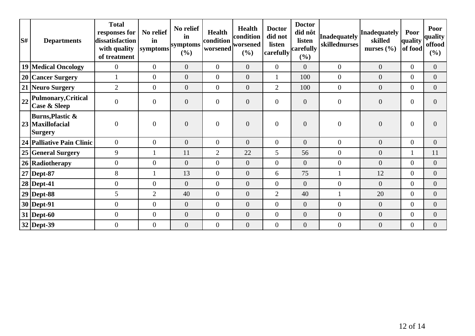| $\mathbf{S}^{\#}$ | <b>Departments</b>                                                  | <b>Total</b><br>responses for<br>dissatisfaction<br>with quality<br>of treatment | No relief<br>in<br>symptoms | No relief<br>in<br>symptoms<br>(%) | <b>Health</b><br>condition<br>worsened | <b>Health</b><br>condition<br>worsened<br>$(\%)$ | <b>Doctor</b><br>did not<br>listen<br>carefully | <b>Doctor</b><br>did nôt<br>listen<br>carefully<br>(%) | Inadequately<br>skillednurses | Inadequately<br>skilled<br>nurses $(\% )$ | Poor<br>quality<br>of food | Poor<br>quality<br>offood<br>$(\%)$ |
|-------------------|---------------------------------------------------------------------|----------------------------------------------------------------------------------|-----------------------------|------------------------------------|----------------------------------------|--------------------------------------------------|-------------------------------------------------|--------------------------------------------------------|-------------------------------|-------------------------------------------|----------------------------|-------------------------------------|
|                   | 19 Medical Oncology                                                 | $\overline{0}$                                                                   | $\boldsymbol{0}$            | $\overline{0}$                     | $\boldsymbol{0}$                       | $\overline{0}$                                   | $\overline{0}$                                  | $\overline{0}$                                         | $\overline{0}$                | $\boldsymbol{0}$                          | $\overline{0}$             | $\Omega$                            |
|                   | 20 Cancer Surgery                                                   |                                                                                  | $\boldsymbol{0}$            | $\overline{0}$                     | $\overline{0}$                         | $\overline{0}$                                   |                                                 | 100                                                    | $\overline{0}$                | $\overline{0}$                            | $\overline{0}$             | $\overline{0}$                      |
|                   | 21 Neuro Surgery                                                    | $\overline{2}$                                                                   | $\overline{0}$              | $\overline{0}$                     | $\overline{0}$                         | $\overline{0}$                                   | $\overline{2}$                                  | 100                                                    | $\overline{0}$                | $\overline{0}$                            | $\overline{0}$             | $\overline{0}$                      |
| 22                | Pulmonary, Critical<br><b>Case &amp; Sleep</b>                      | $\overline{0}$                                                                   | $\boldsymbol{0}$            | $\overline{0}$                     | $\boldsymbol{0}$                       | $\overline{0}$                                   | $\overline{0}$                                  | $\overline{0}$                                         | $\boldsymbol{0}$              | $\boldsymbol{0}$                          | $\overline{0}$             | $\Omega$                            |
|                   | <b>Burns, Plastic &amp;</b><br>23   Maxillofacial<br><b>Surgery</b> | $\overline{0}$                                                                   | $\overline{0}$              | $\overline{0}$                     | $\overline{0}$                         | $\overline{0}$                                   | $\overline{0}$                                  | $\overline{0}$                                         | $\boldsymbol{0}$              | $\overline{0}$                            | $\overline{0}$             |                                     |
|                   | 24 Palliative Pain Clinic                                           | $\overline{0}$                                                                   | $\boldsymbol{0}$            | $\overline{0}$                     | $\boldsymbol{0}$                       | $\overline{0}$                                   | $\overline{0}$                                  | $\overline{0}$                                         | $\overline{0}$                | $\boldsymbol{0}$                          | $\overline{0}$             | $\overline{0}$                      |
|                   | 25 General Surgery                                                  | 9                                                                                |                             | 11                                 | $\overline{2}$                         | 22                                               | 5                                               | 56                                                     | $\boldsymbol{0}$              | $\boldsymbol{0}$                          |                            | 11                                  |
|                   | 26 Radiotherapy                                                     | $\mathbf{0}$                                                                     | $\boldsymbol{0}$            | $\overline{0}$                     | $\overline{0}$                         | $\overline{0}$                                   | $\overline{0}$                                  | $\overline{0}$                                         | $\overline{0}$                | $\overline{0}$                            | $\theta$                   | $\overline{0}$                      |
|                   | $27$ Dept-87                                                        | 8                                                                                |                             | 13                                 | $\overline{0}$                         | $\overline{0}$                                   | 6                                               | 75                                                     | $\mathbf{1}$                  | 12                                        | $\overline{0}$             | $\overline{0}$                      |
|                   | 28   Dept-41                                                        | $\overline{0}$                                                                   | $\overline{0}$              | $\overline{0}$                     | $\overline{0}$                         | $\overline{0}$                                   | $\overline{0}$                                  | $\overline{0}$                                         | $\overline{0}$                | $\overline{0}$                            | $\theta$                   | $\Omega$                            |
|                   | $29$ Dept-88                                                        | 5                                                                                | $\overline{2}$              | 40                                 | $\boldsymbol{0}$                       | $\overline{0}$                                   | $\overline{2}$                                  | 40                                                     |                               | 20                                        | $\overline{0}$             | $\overline{0}$                      |
|                   | $30$ Dept-91                                                        | $\overline{0}$                                                                   | $\overline{0}$              | $\overline{0}$                     | $\overline{0}$                         | $\overline{0}$                                   | $\overline{0}$                                  | $\overline{0}$                                         | $\overline{0}$                | $\overline{0}$                            | $\overline{0}$             | $\overline{0}$                      |
|                   | $31$ Dept-60                                                        | $\overline{0}$                                                                   | $\boldsymbol{0}$            | $\overline{0}$                     | $\overline{0}$                         | $\overline{0}$                                   | $\overline{0}$                                  | $\overline{0}$                                         | $\boldsymbol{0}$              | $\boldsymbol{0}$                          | $\overline{0}$             | $\overline{0}$                      |
|                   | $32$ Dept-39                                                        | $\boldsymbol{0}$                                                                 | $\boldsymbol{0}$            | $\overline{0}$                     | $\boldsymbol{0}$                       | $\boldsymbol{0}$                                 | $\overline{0}$                                  | $\overline{0}$                                         | $\overline{0}$                | $\boldsymbol{0}$                          | $\overline{0}$             | $\overline{0}$                      |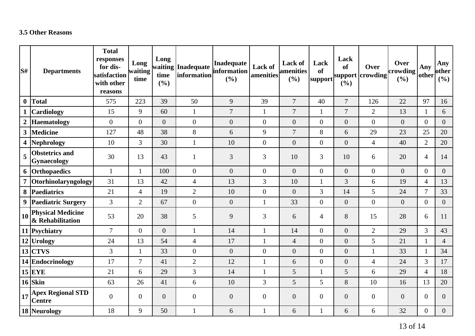### **3.5 Other Reasons**

| S#                      | <b>Departments</b>                           | <b>Total</b><br>responses<br>for dis-<br>satisfaction<br>with other<br>reasons | Long<br>waiting<br>time | Long<br>time<br>(%) | waiting Inadequate<br>information | Inadequate<br>information<br>(%) | Lack of<br>amenities | <b>Lack of</b><br><b>amenities</b><br>(%) | Lack<br><b>of</b><br> support | Lack<br><b>of</b><br>(%) | Over<br>support crowding | Over<br>crowding<br>(%) | Any<br>other   | Any<br>other<br>(%) |
|-------------------------|----------------------------------------------|--------------------------------------------------------------------------------|-------------------------|---------------------|-----------------------------------|----------------------------------|----------------------|-------------------------------------------|-------------------------------|--------------------------|--------------------------|-------------------------|----------------|---------------------|
| $\bf{0}$                | Total                                        | 575                                                                            | 223                     | 39                  | 50                                | 9                                | 39                   | $\overline{7}$                            | 40                            | $\overline{7}$           | 126                      | 22                      | 97             | 16                  |
| $\mathbf{1}$            | <b>Cardiology</b>                            | 15                                                                             | 9                       | 60                  | $\mathbf{1}$                      | $\boldsymbol{7}$                 | $\mathbf{1}$         | $\overline{7}$                            | 1                             | $\overline{7}$           | $\overline{2}$           | 13                      | $\mathbf{1}$   | 6                   |
| $\boldsymbol{2}$        | <b>Haematology</b>                           | $\overline{0}$                                                                 | $\overline{0}$          | $\overline{0}$      | $\overline{0}$                    | $\boldsymbol{0}$                 | $\boldsymbol{0}$     | $\overline{0}$                            | $\overline{0}$                | $\overline{0}$           | $\overline{0}$           | $\overline{0}$          | $\overline{0}$ | $\overline{0}$      |
| $\mathbf{3}$            | Medicine                                     | 127                                                                            | 48                      | 38                  | 8                                 | 6                                | 9                    | $\overline{7}$                            | 8                             | 6                        | 29                       | 23                      | 25             | 20                  |
| $\overline{\mathbf{4}}$ | Nephrology                                   | 10                                                                             | 3                       | 30                  | $\mathbf{1}$                      | 10                               | $\boldsymbol{0}$     | $\overline{0}$                            | $\overline{0}$                | $\overline{0}$           | $\overline{4}$           | 40                      | $\overline{2}$ | 20                  |
| 5                       | <b>Obstetrics and</b><br>Gynaecology         | 30                                                                             | 13                      | 43                  | 1                                 | 3                                | 3                    | 10                                        | $\overline{3}$                | 10                       | 6                        | 20                      | $\overline{4}$ | 14                  |
|                         | 6 Orthopaedics                               | $\mathbf{1}$                                                                   | $\mathbf{1}$            | 100                 | $\overline{0}$                    | $\overline{0}$                   | $\boldsymbol{0}$     | $\overline{0}$                            | $\overline{0}$                | $\overline{0}$           | $\overline{0}$           | $\overline{0}$          | $\overline{0}$ | $\overline{0}$      |
| $\overline{7}$          | Otorhinolaryngology                          | 31                                                                             | 13                      | 42                  | $\overline{4}$                    | 13                               | 3                    | 10                                        | 1                             | 3                        | 6                        | 19                      | $\overline{4}$ | 13                  |
|                         | 8 Paediatrics                                | 21                                                                             | $\overline{4}$          | 19                  | $\overline{2}$                    | 10                               | $\boldsymbol{0}$     | $\mathbf{0}$                              | 3                             | 14                       | 5                        | 24                      | $\overline{7}$ | 33                  |
| $\boldsymbol{9}$        | <b>Paediatric Surgery</b>                    | $\overline{3}$                                                                 | $\overline{2}$          | 67                  | $\overline{0}$                    | $\boldsymbol{0}$                 | $\mathbf{1}$         | 33                                        | $\overline{0}$                | $\overline{0}$           | $\Omega$                 | $\overline{0}$          | $\overline{0}$ | $\overline{0}$      |
| $\vert$ 10              | <b>Physical Medicine</b><br>& Rehabilitation | 53                                                                             | 20                      | 38                  | 5                                 | $\overline{9}$                   | 3                    | 6                                         | 4                             | 8                        | 15                       | 28                      | 6              | 11                  |
|                         | 11 Psychiatry                                | $\overline{7}$                                                                 | $\overline{0}$          | $\overline{0}$      | $\mathbf{1}$                      | 14                               | $\mathbf{1}$         | 14                                        | $\overline{0}$                | $\overline{0}$           | $\overline{2}$           | 29                      | $\overline{3}$ | 43                  |
|                         | 12 Urology                                   | 24                                                                             | 13                      | 54                  | $\overline{4}$                    | 17                               | $\mathbf{1}$         | $\overline{4}$                            | $\overline{0}$                | $\overline{0}$           | 5                        | 21                      | 1              | $\overline{4}$      |
|                         | $13$ CTVS                                    | 3                                                                              | $\mathbf{1}$            | 33                  | $\boldsymbol{0}$                  | $\overline{0}$                   | $\boldsymbol{0}$     | $\overline{0}$                            | $\overline{0}$                | $\overline{0}$           | $\mathbf{1}$             | 33                      | $\mathbf{1}$   | 34                  |
|                         | 14 Endocrinology                             | 17                                                                             | $\overline{7}$          | 41                  | $\overline{2}$                    | 12                               | $\mathbf{1}$         | 6                                         | $\overline{0}$                | $\boldsymbol{0}$         | $\overline{4}$           | 24                      | $\overline{3}$ | 17                  |
|                         | $15$ EYE                                     | 21                                                                             | 6                       | 29                  | 3                                 | 14                               | $\mathbf{1}$         | 5                                         | 1                             | 5                        | 6                        | 29                      | $\overline{4}$ | 18                  |
|                         | $16$ Skin                                    | 63                                                                             | 26                      | 41                  | 6                                 | 10                               | 3                    | 5                                         | 5                             | 8                        | 10                       | 16                      | 13             | 20                  |
| 17                      | <b>Apex Regional STD</b><br><b>Centre</b>    | $\overline{0}$                                                                 | $\mathbf{0}$            | $\overline{0}$      | $\boldsymbol{0}$                  | $\boldsymbol{0}$                 | $\boldsymbol{0}$     | $\overline{0}$                            | $\overline{0}$                | $\boldsymbol{0}$         | $\overline{0}$           | $\overline{0}$          | $\overline{0}$ | $\overline{0}$      |
|                         | 18 Neurology                                 | 18                                                                             | 9                       | 50                  |                                   | 6                                | $\mathbf{1}$         | 6                                         | 1                             | 6                        | 6                        | 32                      | $\overline{0}$ | $\overline{0}$      |